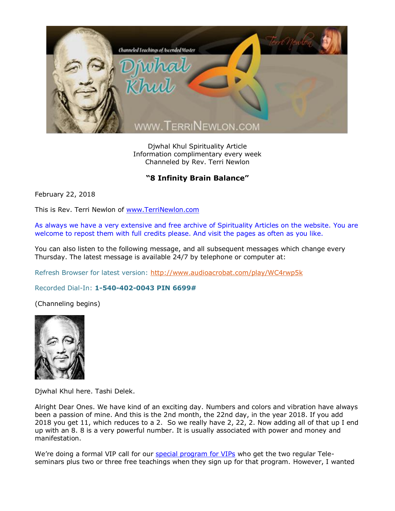

Djwhal Khul Spirituality Article Information complimentary every week Channeled by Rev. Terri Newlon

## "8 Infinity Brain Balance"

February 22, 2018

This is Rev. Terri Newlon of [www.TerriNewlon.com](http://www.terrinewlon.com/)

As always we have a very extensive and free archive of Spirituality Articles on the website. You are welcome to repost them with full credits please. And visit the pages as often as you like.

You can also listen to the following message, and all subsequent messages which change every Thursday. The latest message is available 24/7 by telephone or computer at:

Refresh Browser for latest version:<http://www.audioacrobat.com/play/WC4rwp5k>

Recorded Dial-In: **1-540-402-0043 PIN 6699#**

(Channeling begins)



Djwhal Khul here. Tashi Delek.

Alright Dear Ones. We have kind of an exciting day. Numbers and colors and vibration have always been a passion of mine. And this is the 2nd month, the 22nd day, in the year 2018. If you add 2018 you get 11, which reduces to a 2. So we really have 2, 22, 2. Now adding all of that up I end up with an 8. 8 is a very powerful number. It is usually associated with power and money and manifestation.

We're doing a formal VIP call for our [special program for VIPs](http://www.terrinewlon.com/telecourses.php#newoffer) who get the two regular Teleseminars plus two or three free teachings when they sign up for that program. However, I wanted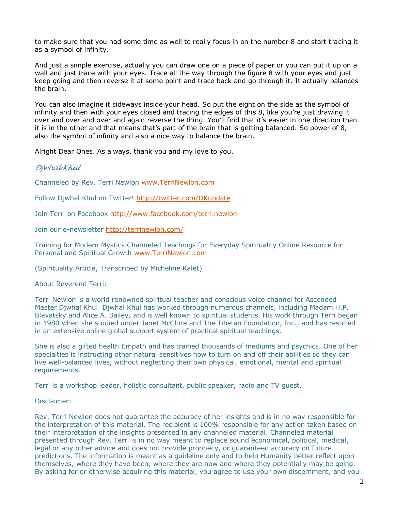to make sure that you had some time as well to really focus in on the number 8 and start tracing it as a symbol of infinity.

And just a simple exercise, actually you can draw one on a piece of paper or you can put it up on a wall and just trace with your eyes. Trace all the way through the figure 8 with your eyes and just keep going and then reverse it at some point and trace back and go through it. It actually balances the brain.

You can also imagine it sideways inside your head. So put the eight on the side as the symbol of infinity and then with your eyes closed and tracing the edges of this 8, like you're just drawing it over and over and over and again reverse the thing. You'll find that it's easier in one direction than it is in the other and that means that's part of the brain that is getting balanced. So power of 8, also the symbol of infinity and also a nice way to balance the brain.

Alright Dear Ones. As always, thank you and my love to you.

## *Djwhal Khul*

Channeled by Rev. Terri Newlon [www.TerriNewlon.com](http://www.terrinewlon.com/)

Follow Djwhal Khul on Twitter!<http://twitter.com/DKupdate>

Join Terri on Facebook<http://www.facebook.com/terri.newlon>

Join our e-newsletter<http://terrinewlon.com/>

Training for Modern Mystics Channeled Teachings for Everyday Spirituality Online Resource for Personal and Spiritual Growth [www.TerriNewlon.com](http://www.terrinewlon.com/)

(Spirituality Article, Transcribed by Micheline Ralet)

About Reverend Terri:

Terri Newlon is a world renowned spiritual teacher and conscious voice channel for Ascended Master Djwhal Khul. Djwhal Khul has worked through numerous channels, including Madam H.P. Blavatsky and Alice A. Bailey, and is well known to spiritual students. His work through Terri began in 1980 when she studied under Janet McClure and The Tibetan Foundation, Inc., and has resulted in an extensive online global support system of practical spiritual teachings.

She is also a gifted health Empath and has trained thousands of mediums and psychics. One of her specialties is instructing other natural sensitives how to turn on and off their abilities so they can live well-balanced lives, without neglecting their own physical, emotional, mental and spiritual requirements.

Terri is a workshop leader, holistic consultant, public speaker, radio and TV guest.

## Disclaimer:

Rev. Terri Newlon does not guarantee the accuracy of her insights and is in no way responsible for the interpretation of this material. The recipient is 100% responsible for any action taken based on their interpretation of the insights presented in any channeled material. Channeled material presented through Rev. Terri is in no way meant to replace sound economical, political, medical, legal or any other advice and does not provide prophecy, or guaranteed accuracy on future predictions. The information is meant as a guideline only and to help Humanity better reflect upon themselves, where they have been, where they are now and where they potentially may be going. By asking for or otherwise acquiring this material, you agree to use your own discernment, and you